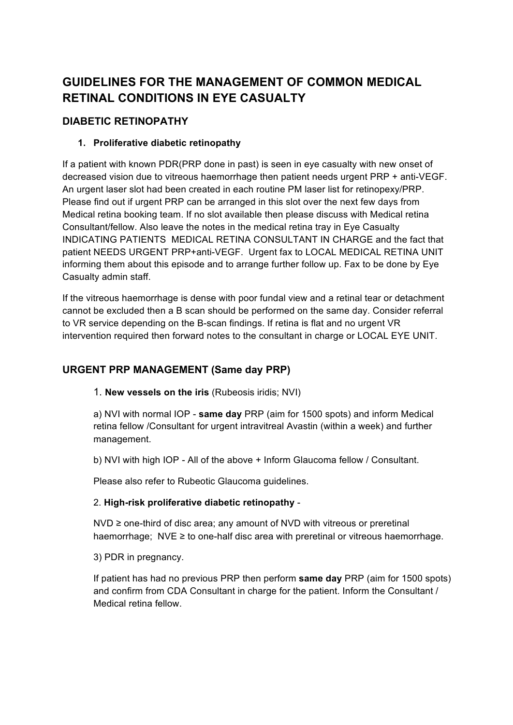# **GUIDELINES FOR THE MANAGEMENT OF COMMON MEDICAL RETINAL CONDITIONS IN EYE CASUALTY**

## **DIABETIC RETINOPATHY**

#### **1. Proliferative diabetic retinopathy**

If a patient with known PDR(PRP done in past) is seen in eye casualty with new onset of decreased vision due to vitreous haemorrhage then patient needs urgent PRP + anti-VEGF. An urgent laser slot had been created in each routine PM laser list for retinopexy/PRP. Please find out if urgent PRP can be arranged in this slot over the next few days from Medical retina booking team. If no slot available then please discuss with Medical retina Consultant/fellow. Also leave the notes in the medical retina tray in Eye Casualty INDICATING PATIENTS MEDICAL RETINA CONSULTANT IN CHARGE and the fact that patient NEEDS URGENT PRP+anti-VEGF. Urgent fax to LOCAL MEDICAL RETINA UNIT informing them about this episode and to arrange further follow up. Fax to be done by Eye Casualty admin staff.

If the vitreous haemorrhage is dense with poor fundal view and a retinal tear or detachment cannot be excluded then a B scan should be performed on the same day. Consider referral to VR service depending on the B-scan findings. If retina is flat and no urgent VR intervention required then forward notes to the consultant in charge or LOCAL EYE UNIT.

# **URGENT PRP MANAGEMENT (Same day PRP)**

1. **New vessels on the iris** (Rubeosis iridis; NVI)

a) NVI with normal IOP - **same day** PRP (aim for 1500 spots) and inform Medical retina fellow /Consultant for urgent intravitreal Avastin (within a week) and further management.

b) NVI with high IOP - All of the above + Inform Glaucoma fellow / Consultant.

Please also refer to Rubeotic Glaucoma guidelines.

#### 2. **High-risk proliferative diabetic retinopathy** -

NVD ≥ one-third of disc area; any amount of NVD with vitreous or preretinal haemorrhage; NVE  $\geq$  to one-half disc area with preretinal or vitreous haemorrhage.

3) PDR in pregnancy.

If patient has had no previous PRP then perform **same day** PRP (aim for 1500 spots) and confirm from CDA Consultant in charge for the patient. Inform the Consultant / Medical retina fellow.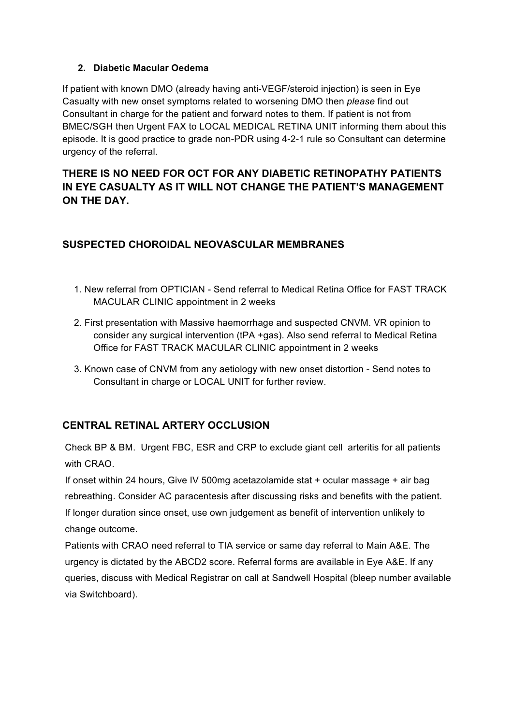#### **2. Diabetic Macular Oedema**

If patient with known DMO (already having anti-VEGF/steroid injection) is seen in Eye Casualty with new onset symptoms related to worsening DMO then *please* find out Consultant in charge for the patient and forward notes to them. If patient is not from BMEC/SGH then Urgent FAX to LOCAL MEDICAL RETINA UNIT informing them about this episode. It is good practice to grade non-PDR using 4-2-1 rule so Consultant can determine urgency of the referral.

# **THERE IS NO NEED FOR OCT FOR ANY DIABETIC RETINOPATHY PATIENTS IN EYE CASUALTY AS IT WILL NOT CHANGE THE PATIENT'S MANAGEMENT ON THE DAY.**

### **SUSPECTED CHOROIDAL NEOVASCULAR MEMBRANES**

- 1. New referral from OPTICIAN Send referral to Medical Retina Office for FAST TRACK MACULAR CLINIC appointment in 2 weeks
- 2. First presentation with Massive haemorrhage and suspected CNVM. VR opinion to consider any surgical intervention (tPA +gas). Also send referral to Medical Retina Office for FAST TRACK MACULAR CLINIC appointment in 2 weeks
- 3. Known case of CNVM from any aetiology with new onset distortion Send notes to Consultant in charge or LOCAL UNIT for further review.

### **CENTRAL RETINAL ARTERY OCCLUSION**

Check BP & BM. Urgent FBC, ESR and CRP to exclude giant cell arteritis for all patients with CRAO.

If onset within 24 hours, Give IV 500mg acetazolamide stat + ocular massage + air bag rebreathing. Consider AC paracentesis after discussing risks and benefits with the patient. If longer duration since onset, use own judgement as benefit of intervention unlikely to change outcome.

Patients with CRAO need referral to TIA service or same day referral to Main A&E. The urgency is dictated by the ABCD2 score. Referral forms are available in Eye A&E. If any queries, discuss with Medical Registrar on call at Sandwell Hospital (bleep number available via Switchboard).